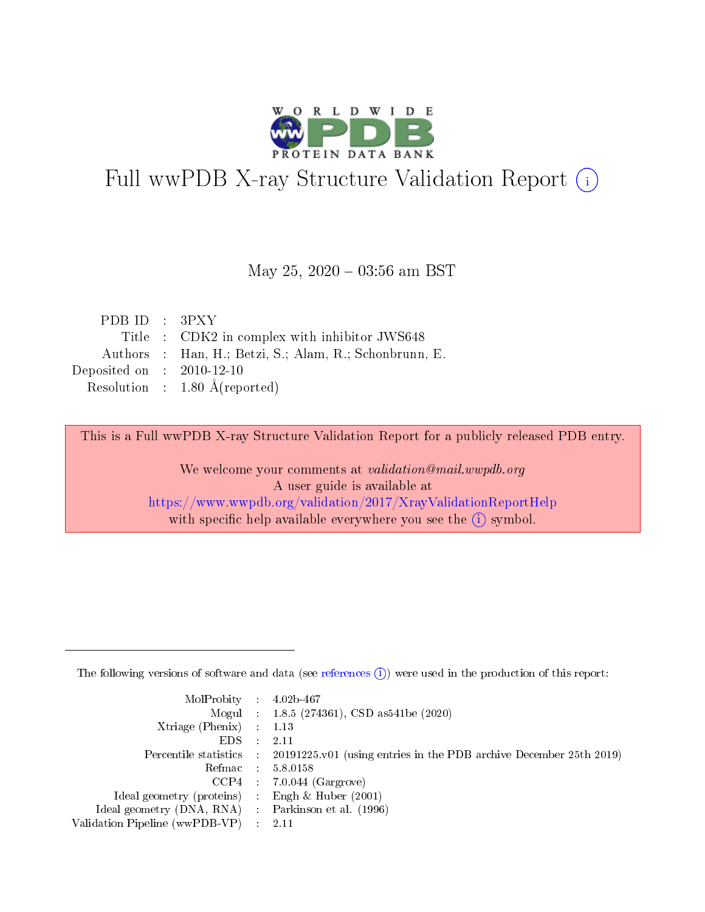

# Full wwPDB X-ray Structure Validation Report (i)

#### May 25,  $2020 - 03:56$  am BST

| PDB ID : $3PXY$                      |                                                        |
|--------------------------------------|--------------------------------------------------------|
|                                      | Title : CDK2 in complex with inhibitor JWS648          |
|                                      | Authors : Han, H.; Betzi, S.; Alam, R.; Schonbrunn, E. |
| Deposited on $\therefore$ 2010-12-10 |                                                        |
|                                      | Resolution : $1.80 \text{ Å}$ (reported)               |

This is a Full wwPDB X-ray Structure Validation Report for a publicly released PDB entry.

We welcome your comments at validation@mail.wwpdb.org A user guide is available at <https://www.wwpdb.org/validation/2017/XrayValidationReportHelp> with specific help available everywhere you see the  $(i)$  symbol.

The following versions of software and data (see [references](https://www.wwpdb.org/validation/2017/XrayValidationReportHelp#references)  $(1)$ ) were used in the production of this report:

| $MolProbability$ : 4.02b-467                        |                                                                                            |
|-----------------------------------------------------|--------------------------------------------------------------------------------------------|
|                                                     | Mogul : 1.8.5 (274361), CSD as 541be (2020)                                                |
| Xtriage (Phenix) $: 1.13$                           |                                                                                            |
| EDS :                                               | -2.11                                                                                      |
|                                                     | Percentile statistics : 20191225.v01 (using entries in the PDB archive December 25th 2019) |
| Refmac 58.0158                                      |                                                                                            |
|                                                     | $CCP4$ 7.0.044 (Gargrove)                                                                  |
| Ideal geometry (proteins) : Engh $\&$ Huber (2001)  |                                                                                            |
| Ideal geometry (DNA, RNA) : Parkinson et al. (1996) |                                                                                            |
| Validation Pipeline (wwPDB-VP) : 2.11               |                                                                                            |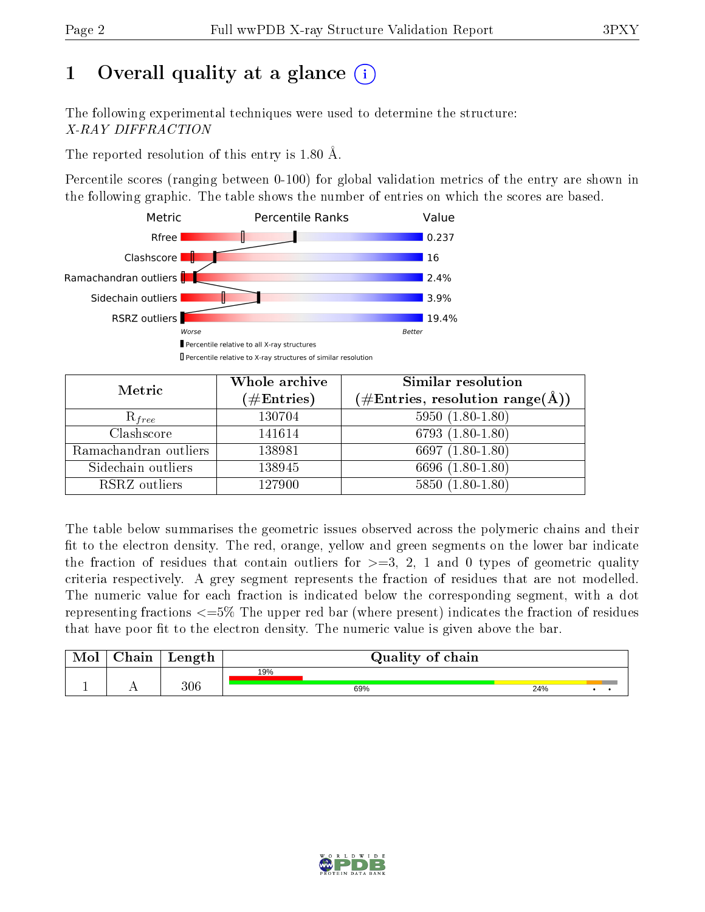# 1 [O](https://www.wwpdb.org/validation/2017/XrayValidationReportHelp#overall_quality)verall quality at a glance  $(i)$

The following experimental techniques were used to determine the structure: X-RAY DIFFRACTION

The reported resolution of this entry is 1.80 Å.

Percentile scores (ranging between 0-100) for global validation metrics of the entry are shown in the following graphic. The table shows the number of entries on which the scores are based.



| Metric                | Whole archive        | Similar resolution                                                        |
|-----------------------|----------------------|---------------------------------------------------------------------------|
|                       | $(\#\text{Entries})$ | $(\#\text{Entries},\,\text{resolution}\,\,\text{range}(\textup{\AA})\, )$ |
| $R_{free}$            | 130704               | $5950(1.80-1.80)$                                                         |
| Clashscore            | 141614               | $6793(1.80-1.80)$                                                         |
| Ramachandran outliers | 138981               | 6697 $(1.80-1.80)$                                                        |
| Sidechain outliers    | 138945               | 6696 (1.80-1.80)                                                          |
| RSRZ outliers         | 127900               | $5850(1.80-1.80)$                                                         |

The table below summarises the geometric issues observed across the polymeric chains and their fit to the electron density. The red, orange, yellow and green segments on the lower bar indicate the fraction of residues that contain outliers for  $>=3, 2, 1$  and 0 types of geometric quality criteria respectively. A grey segment represents the fraction of residues that are not modelled. The numeric value for each fraction is indicated below the corresponding segment, with a dot representing fractions  $\epsilon=5\%$  The upper red bar (where present) indicates the fraction of residues that have poor fit to the electron density. The numeric value is given above the bar.

| Mol       | $\alpha$ hain               | Length | Quality of chain |     |  |  |  |  |
|-----------|-----------------------------|--------|------------------|-----|--|--|--|--|
|           |                             |        | 19%              |     |  |  |  |  |
| <u>д.</u> | $\rightarrow$ $\rightarrow$ | 306    | 69%              | 24% |  |  |  |  |

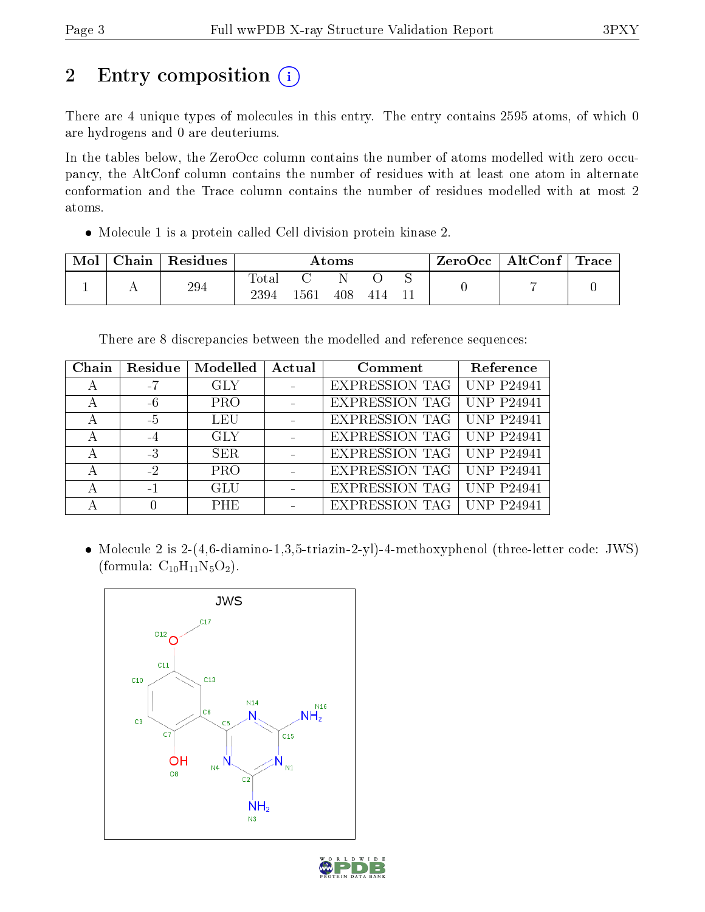# 2 Entry composition (i)

There are 4 unique types of molecules in this entry. The entry contains 2595 atoms, of which 0 are hydrogens and 0 are deuteriums.

In the tables below, the ZeroOcc column contains the number of atoms modelled with zero occupancy, the AltConf column contains the number of residues with at least one atom in alternate conformation and the Trace column contains the number of residues modelled with at most 2 atoms.

Molecule 1 is a protein called Cell division protein kinase 2.

| Mol | Chain | Residues | Atoms         |      |     |      |  | ZeroOcc | $\mid$ AltConf $\mid$ Trace |  |
|-----|-------|----------|---------------|------|-----|------|--|---------|-----------------------------|--|
|     |       | 294      | Tota.<br>2394 | 1561 | 408 | -414 |  |         |                             |  |

There are 8 discrepancies between the modelled and reference sequences:

| Chain | Residue | Modelled   | Actual | Comment               | Reference         |
|-------|---------|------------|--------|-----------------------|-------------------|
| А     | $-7$    | <b>GLY</b> |        | <b>EXPRESSION TAG</b> | <b>UNP P24941</b> |
| А     | $-6$    | <b>PRO</b> |        | <b>EXPRESSION TAG</b> | <b>UNP P24941</b> |
| А     | $-5$    | <b>LEU</b> |        | <b>EXPRESSION TAG</b> | <b>UNP P24941</b> |
| А     | $-4$    | <b>GLY</b> |        | <b>EXPRESSION TAG</b> | <b>UNP P24941</b> |
| А     | $-3$    | SER.       |        | EXPRESSION TAG        | <b>UNP P24941</b> |
| А     | $-2$    | <b>PRO</b> |        | <b>EXPRESSION TAG</b> | <b>UNP P24941</b> |
| А     | $-1$    | GLU        |        | <b>EXPRESSION TAG</b> | <b>UNP P24941</b> |
|       |         | <b>PHE</b> |        | EXPRESSION TAG        | <b>UNP P24941</b> |

• Molecule 2 is 2-(4,6-diamino-1,3,5-triazin-2-yl)-4-methoxyphenol (three-letter code: JWS) (formula:  $C_{10}H_{11}N_5O_2$ ).



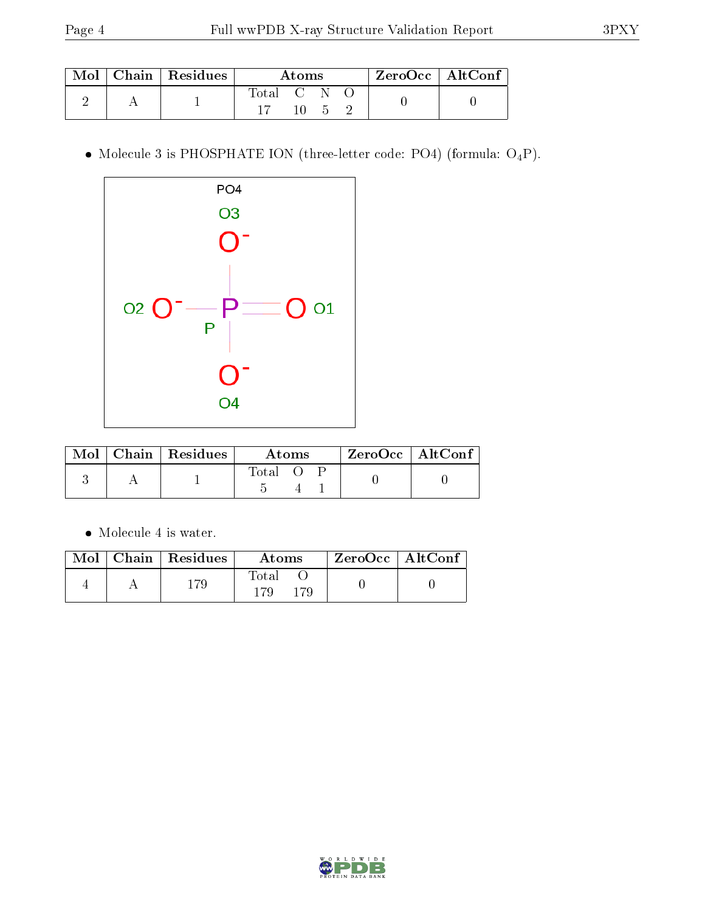|  | Mol   Chain   Residues | Atoms   |  |  |  | ZeroOcc   AltConf |
|--|------------------------|---------|--|--|--|-------------------|
|  |                        | Total C |  |  |  |                   |
|  |                        |         |  |  |  |                   |

 $\bullet$  Molecule 3 is PHOSPHATE ION (three-letter code: PO4) (formula:  $\mathrm{O_4P}) .$ 



|  | $Mol$   Chain   Residues | Atoms |  | $ZeroOcc$   AltConf |  |  |
|--|--------------------------|-------|--|---------------------|--|--|
|  |                          | Total |  |                     |  |  |

Molecule 4 is water.

|  | $\text{Mol}$   Chain   Residues | Atoms | ZeroOcc   AltConf |  |
|--|---------------------------------|-------|-------------------|--|
|  |                                 | Total |                   |  |

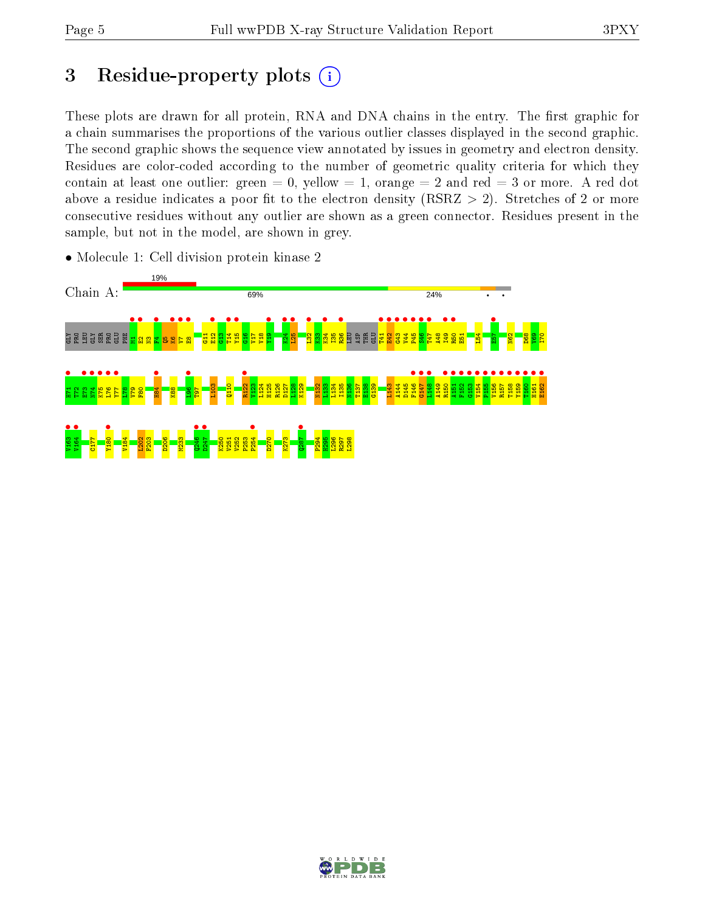# 3 Residue-property plots  $(i)$

These plots are drawn for all protein, RNA and DNA chains in the entry. The first graphic for a chain summarises the proportions of the various outlier classes displayed in the second graphic. The second graphic shows the sequence view annotated by issues in geometry and electron density. Residues are color-coded according to the number of geometric quality criteria for which they contain at least one outlier: green  $= 0$ , yellow  $= 1$ , orange  $= 2$  and red  $= 3$  or more. A red dot above a residue indicates a poor fit to the electron density (RSRZ  $> 2$ ). Stretches of 2 or more consecutive residues without any outlier are shown as a green connector. Residues present in the sample, but not in the model, are shown in grey.



• Molecule 1: Cell division protein kinase 2

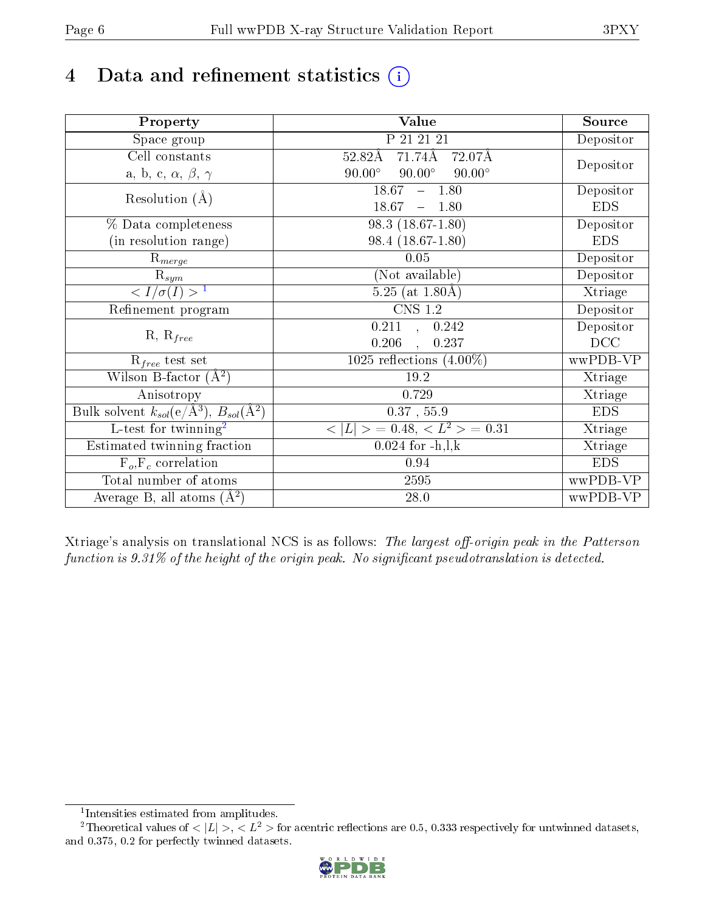# 4 Data and refinement statistics  $(i)$

| Property                                                             | Value                                           | Source     |
|----------------------------------------------------------------------|-------------------------------------------------|------------|
| Space group                                                          | P 21 21 21                                      | Depositor  |
| Cell constants                                                       | 71.74Å<br>$52.82\text{\AA}$<br>72.07Å           | Depositor  |
| a, b, c, $\alpha$ , $\beta$ , $\gamma$                               | $90.00^\circ$<br>$90.00^\circ$<br>$90.00^\circ$ |            |
| Resolution $(A)$                                                     | 18.67<br>$-1.80$                                | Depositor  |
|                                                                      | 18.67<br>$-1.80$                                | <b>EDS</b> |
| % Data completeness                                                  | $98.3(18.67-1.80)$                              | Depositor  |
| (in resolution range)                                                | 98.4 (18.67-1.80)                               | <b>EDS</b> |
| $R_{merge}$                                                          | 0.05                                            | Depositor  |
| $\mathrm{R}_{sym}$                                                   | (Not available)                                 | Depositor  |
| $\langle I/\sigma(I) \rangle$ <sup>1</sup>                           | $5.25$ (at $1.80\text{\AA}$ )                   | Xtriage    |
| Refinement program                                                   | $\overline{\text{CNS} 1.2}$                     | Depositor  |
| $R, R_{free}$                                                        | $\overline{0.211}$ ,<br>0.242                   | Depositor  |
|                                                                      | 0.206<br>0.237                                  | DCC        |
| $\mathcal{R}_{free}$ test set                                        | 1025 reflections $(4.00\%)$                     | wwPDB-VP   |
| Wilson B-factor $(A^2)$                                              | 19.2                                            | Xtriage    |
| Anisotropy                                                           | 0.729                                           | Xtriage    |
| Bulk solvent $k_{sol}(e/\mathring{A}^3)$ , $B_{sol}(\mathring{A}^2)$ | $0.37$ , 55.9                                   | <b>EDS</b> |
| L-test for twinning <sup>2</sup>                                     | $< L >$ = 0.48, $< L2$ = 0.31                   | Xtriage    |
| Estimated twinning fraction                                          | $0.024$ for $-h, l, k$                          | Xtriage    |
| $F_o, F_c$ correlation                                               | 0.94                                            | <b>EDS</b> |
| Total number of atoms                                                | 2595                                            | wwPDB-VP   |
| Average B, all atoms $(A^2)$                                         | 28.0                                            | wwPDB-VP   |

Xtriage's analysis on translational NCS is as follows: The largest off-origin peak in the Patterson function is  $9.31\%$  of the height of the origin peak. No significant pseudotranslation is detected.

<sup>&</sup>lt;sup>2</sup>Theoretical values of  $\langle |L| \rangle$ ,  $\langle L^2 \rangle$  for acentric reflections are 0.5, 0.333 respectively for untwinned datasets, and 0.375, 0.2 for perfectly twinned datasets.



<span id="page-5-1"></span><span id="page-5-0"></span><sup>1</sup> Intensities estimated from amplitudes.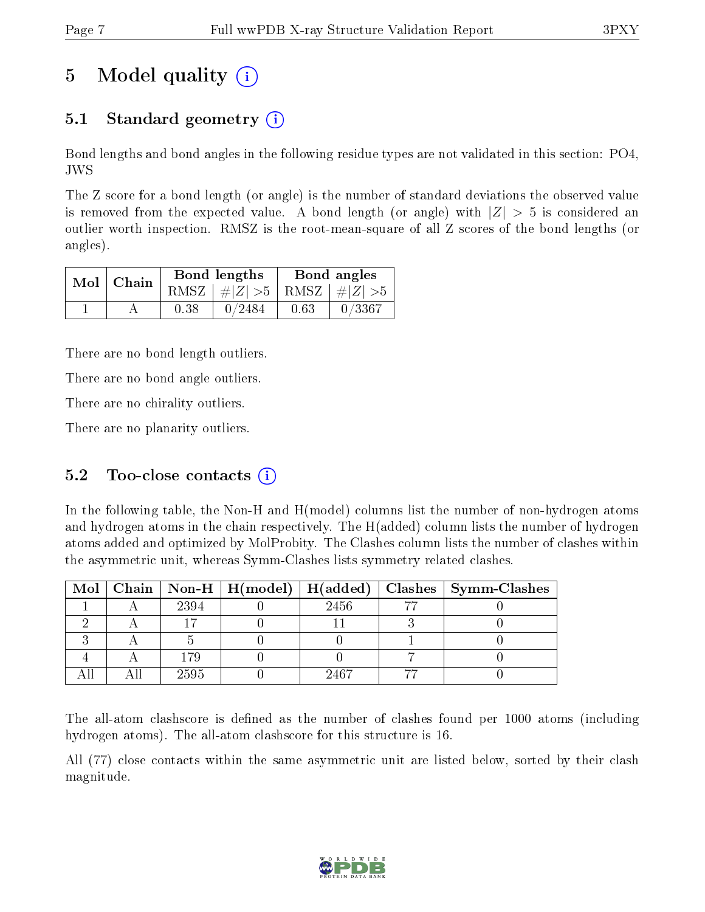# 5 Model quality  $(i)$

## 5.1 Standard geometry  $(i)$

Bond lengths and bond angles in the following residue types are not validated in this section: PO4, JWS

The Z score for a bond length (or angle) is the number of standard deviations the observed value is removed from the expected value. A bond length (or angle) with  $|Z| > 5$  is considered an outlier worth inspection. RMSZ is the root-mean-square of all Z scores of the bond lengths (or angles).

|  | $Mol$   Chain |      | Bond lengths                    | Bond angles |           |  |
|--|---------------|------|---------------------------------|-------------|-----------|--|
|  |               |      | RMSZ $ #Z  > 5$ RMSZ $ #Z  > 5$ |             |           |  |
|  |               | 0.38 | 0/2484                          | 0.63        | $-0/3367$ |  |

There are no bond length outliers.

There are no bond angle outliers.

There are no chirality outliers.

There are no planarity outliers.

### 5.2 Too-close contacts  $(i)$

In the following table, the Non-H and H(model) columns list the number of non-hydrogen atoms and hydrogen atoms in the chain respectively. The H(added) column lists the number of hydrogen atoms added and optimized by MolProbity. The Clashes column lists the number of clashes within the asymmetric unit, whereas Symm-Clashes lists symmetry related clashes.

|  |      |      | Mol   Chain   Non-H   H(model)   H(added)   Clashes   Symm-Clashes |
|--|------|------|--------------------------------------------------------------------|
|  | 2394 | 2456 |                                                                    |
|  |      |      |                                                                    |
|  |      |      |                                                                    |
|  | 179  |      |                                                                    |
|  | 2595 | 9467 |                                                                    |

The all-atom clashscore is defined as the number of clashes found per 1000 atoms (including hydrogen atoms). The all-atom clashscore for this structure is 16.

All (77) close contacts within the same asymmetric unit are listed below, sorted by their clash magnitude.

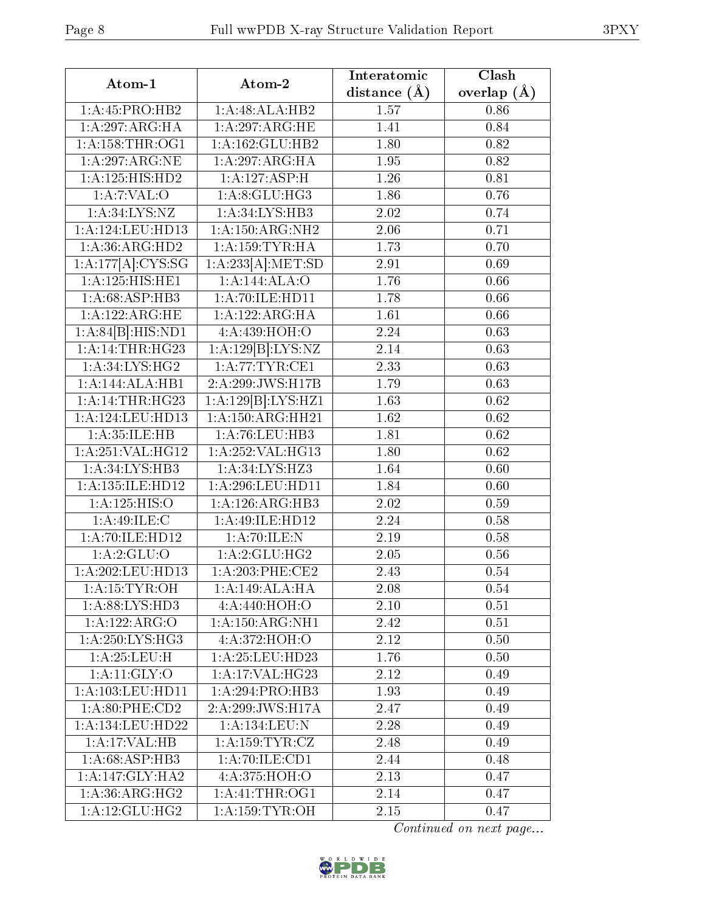| Atom-1                              | Atom-2                                    | Interatomic    | Clash           |
|-------------------------------------|-------------------------------------------|----------------|-----------------|
|                                     |                                           | distance $(A)$ | overlap $(\AA)$ |
| 1:A:45:PRO:HB2                      | 1:A:48:ALA:HB2                            | 1.57           | 0.86            |
| 1:A:297:ARG:HA                      | 1:A:297:ARG:HE                            | 1.41           | 0.84            |
| 1: A: 158: THR: OG1                 | 1:A:162:GLU:HB2                           | 1.80           | 0.82            |
| 1:A:297:ARG:NE                      | 1:A:297:ARG:HA                            | 1.95           | 0.82            |
| 1:A:125:HIS:HD2                     | 1:A:127:ASP:H                             | 1.26           | 0.81            |
| 1: A: 7: VAL: O                     | 1:A:8:GLU:HG3                             | 1.86           | 0.76            |
| 1: A:34: LYS:NZ                     | 1:A:34:LYS:HB3                            | 2.02           | 0.74            |
| 1:A:124:LEU:HD13                    | 1: A: 150: ARG: NH2                       | 2.06           | 0.71            |
| 1:A:36:ARG:HD2                      | $1:$ A:159:TYR:HA                         | 1.73           | 0.70            |
| 1:A:177[A]:CYS:SG                   | 1:A:233[A]:MET:SD                         | 2.91           | 0.69            |
| 1:A:125:HIS:HEL                     | 1:A:144:ALA:O                             | 1.76           | 0.66            |
| 1:A:68:ASP:HB3                      | 1:A:70:ILE:HD11                           | 1.78           | 0.66            |
| 1:A:122:ARG:HE                      | 1:A:122:ARG:HA                            | 1.61           | 0.66            |
| 1:A:84[B]:HIS:ND1                   | 4:A:439:HOH:O                             | 2.24           | 0.63            |
| 1: A:14:THR:HG23                    | 1:A:129[B]:LYS:NZ                         | 2.14           | 0.63            |
| 1:A:34:LYS:HG2                      | 1:A:77:TYR:CE1                            | 2.33           | 0.63            |
| 1:A:144:ALA:HB1                     | 2:A:299:JWS:H17B                          | 1.79           | 0.63            |
| 1: A:14:THR:HG23                    | $1:A:\overline{129 B}:\overline{LYS:HZ1}$ | 1.63           | 0.62            |
| 1:A:124:LEU:HD13                    | 1: A: 150: ARG: HH21                      | 1.62           | 0.62            |
| $1:A:35:\overline{\mathrm{ILE:HB}}$ | 1:A:76:LEU:HB3                            | 1.81           | 0.62            |
| 1:A:251:VAL:HG12                    | 1:A:252:VAL:HG13                          | 1.80           | 0.62            |
| 1:A:34:LYS:HB3                      | 1:A:34:LYS:HZ3                            | 1.64           | 0.60            |
| 1:A:135:ILE:HD12                    | 1:A:296:LEU:HD11                          | 1.84           | 0.60            |
| 1: A: 125: HIS: O                   | 1:A:126:ARG:HB3                           | 2.02           | 0.59            |
| 1:A:49:ILE:C                        | 1:A:49:ILE:HD12                           | 2.24           | 0.58            |
| 1: A:70: ILE: HD12                  | 1: A:70: ILE:N                            | 2.19           | 0.58            |
| 1: A:2: GLU:O                       | 1: A:2: GLU: HG2                          | 2.05           | 0.56            |
| 1:A:202:LEU:HD13                    | 1: A:203:PHE:CE2                          | 2.43           | 0.54            |
| 1:A:15:TYR:OH                       | 1:A:149:ALA:HA                            | 2.08           | 0.54            |
| 1: A:88: LYS: HD3                   | 4: A:440:HOH:O                            | 2.10           | 0.51            |
| 1:A:122:ARG:O                       | 1: A: 150: ARG: NH1                       | 2.42           | 0.51            |
| 1: A:250: LYS:HG3                   | 4: A:372: HOH:O                           | 2.12           | 0.50            |
| 1: A:25:LEU:H                       | 1:A:25:LEU:HD23                           | 1.76           | 0.50            |
| 1: A:11: GLY:O                      | 1:A:17:VAL:HG23                           | 2.12           | 0.49            |
| 1:A:103:LEU:HD11                    | 1:A:294:PRO:HB3                           | 1.93           | 0.49            |
| 1: A:80:PHE:CD2                     | $2:A:299:J\overline{WS:H17A}$             | 2.47           | 0.49            |
| $1: A: 134:$ LEU:HD22               | 1:A:134:LEU:N                             | 2.28           | 0.49            |
| 1:A:17:VAL:HB                       | 1: A: 159: TYR: CZ                        | 2.48           | 0.49            |
| 1:A:68:ASP:HB3                      | $1: A:70: ILE: \overline{CD1}$            | 2.44           | 0.48            |
| 1:A:147:GLY:HA2                     | $4:A:375:\overline{HOH:O}$                | 2.13           | 0.47            |
| 1: A:36: ARG: HG2                   | 1: A: 41: THE: OG1                        | 2.14           | 0.47            |
| 1: A: 12: GLU: HG2                  | $1:A:\overline{159:TYR:OH}$               | 2.15           | 0.47            |

Continued on next page...

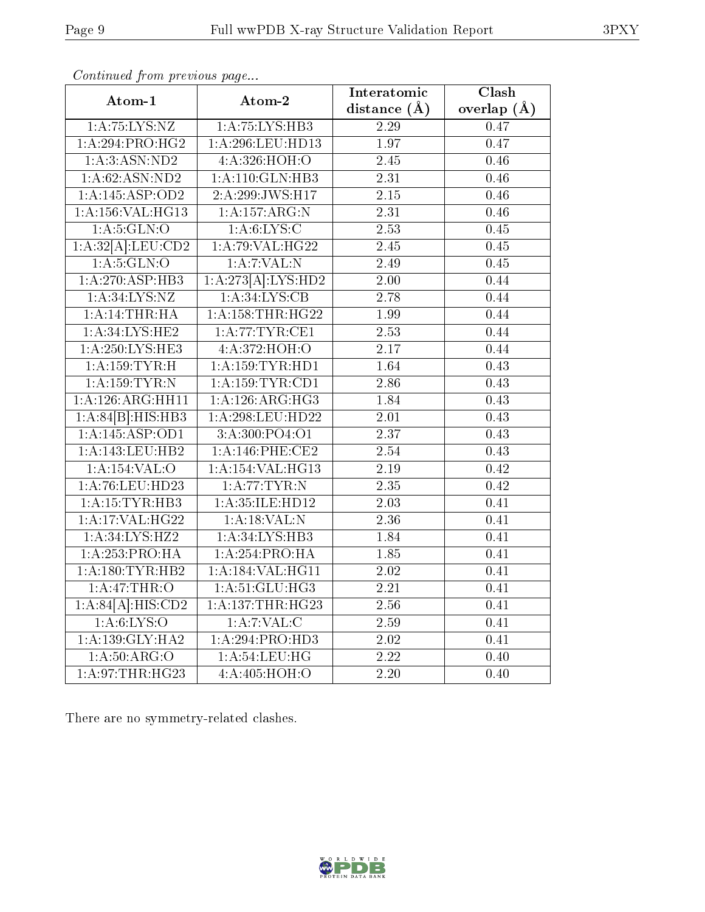|                                 |                      | Interatomic       | Clash             |
|---------------------------------|----------------------|-------------------|-------------------|
| Atom-1                          | Atom-2               | distance $(A)$    | overlap $(A)$     |
| 1: A: 75: LYS: NZ               | 1:A:75:LYS:HB3       | 2.29              | 0.47              |
| 1:A:294:PRO:HG2                 | 1:A:296:LEU:HD13     | $\overline{1.97}$ | 0.47              |
| 1:A:3:ASN:ND2                   | 4:A:326:HOH:O        | 2.45              | 0.46              |
| 1:A:62:ASN:ND2                  | 1:A:110:GLN:HB3      | 2.31              | 0.46              |
| 1:A:145:ASP:OD2                 | 2:A:299:JWS:H17      | $\overline{2.15}$ | 0.46              |
| 1:A:156:VAL:HG13                | 1: A: 157: ARG: N    | 2.31              | 0.46              |
| 1: A:5: GLN:O                   | 1: A:6: LYS:C        | 2.53              | 0.45              |
| 1:A:32[A]:LEU:CD2               | 1: A:79: VAL:HG22    | $\overline{2.45}$ | 0.45              |
| 1: A:5: GLN:O                   | $1:$ A:7:VAL:N       | $\overline{2.49}$ | 0.45              |
| 1:A:270:ASP:HB3                 | 1:A:273[A]:LYS:HD2   | 2.00              | 0.44              |
| 1: A:34: LYS:NZ                 | 1:A:34:LYS:CB        | $\overline{2.78}$ | 0.44              |
| 1: A:14:THR:HA                  | 1: A: 158: THR: HG22 | 1.99              | 0.44              |
| 1:A:34:LYS:HE2                  | 1: A:77:TYR:CE1      | 2.53              | 0.44              |
| 1: A:250:LYS:HE3                | 4: A:372: HOH:O      | $\overline{2.17}$ | 0.44              |
| 1:A:159:TYR:H                   | 1: A: 159: TYR: HD1  | 1.64              | 0.43              |
| 1: A: 159: TYR: N               | 1: A: 159: TYR: CD1  | 2.86              | 0.43              |
| $1: A:126: \overline{ARG:HH11}$ | 1:A:126:ARG:HG3      | 1.84              | 0.43              |
| 1:A:84[B]:HIS:HB3               | 1:A:298:LEU:HD22     | $\overline{2.01}$ | 0.43              |
| $1:\overline{A:145:ASP:OD1}$    | 3:A:300:PO4:O1       | $\overline{2.37}$ | 0.43              |
| 1:A:143:LEU:HB2                 | $1: A:146:$ PHE:CE2  | 2.54              | 0.43              |
| $1:$ A:154:VAL:O                | 1:A:154:VAL:HG13     | $\overline{2.19}$ | 0.42              |
| 1:A:76:LEU:HD23                 | 1:A:77:TYR:N         | 2.35              | 0.42              |
| 1:A:15:TYR:HB3                  | 1:A:35:ILE:HD12      | 2.03              | 0.41              |
| 1: A:17: VAL:HG22               | $1:$ A:18:VAL:N      | 2.36              | 0.41              |
| 1:A:34:LYS:HZ2                  | 1:A:34:LYS:HB3       | 1.84              | 0.41              |
| 1:A:253:PRO:HA                  | 1:A:254:PRO:HA       | 1.85              | $\overline{0.41}$ |
| 1:A:180:TYR:HB2                 | 1:A:184:VAL:HG11     | 2.02              | 0.41              |
| 1:A:47:THR:O                    | 1: A:51: GLU:HG3     | 2.21              | 0.41              |
| $1:A:84[A]\overline{:HIS:CD2}$  | 1:A:137:THR:HG23     | 2.56              | 0.41              |
| 1: A:6: LYS:O                   | 1:A:7:VAL:CC         | $2.59\,$          | 0.41              |
| 1: A: 139: GLY: HA2             | 1:A:294:PRO:HD3      | 2.02              | 0.41              |
| 1: A:50: ARG:O                  | 1: A:54:LEU:HG       | 2.22              | 0.40              |
| 1:A:97:THR:HG23                 | 4: A:405:HOH:O       | $\overline{2.20}$ | 0.40              |

Continued from previous page...

There are no symmetry-related clashes.



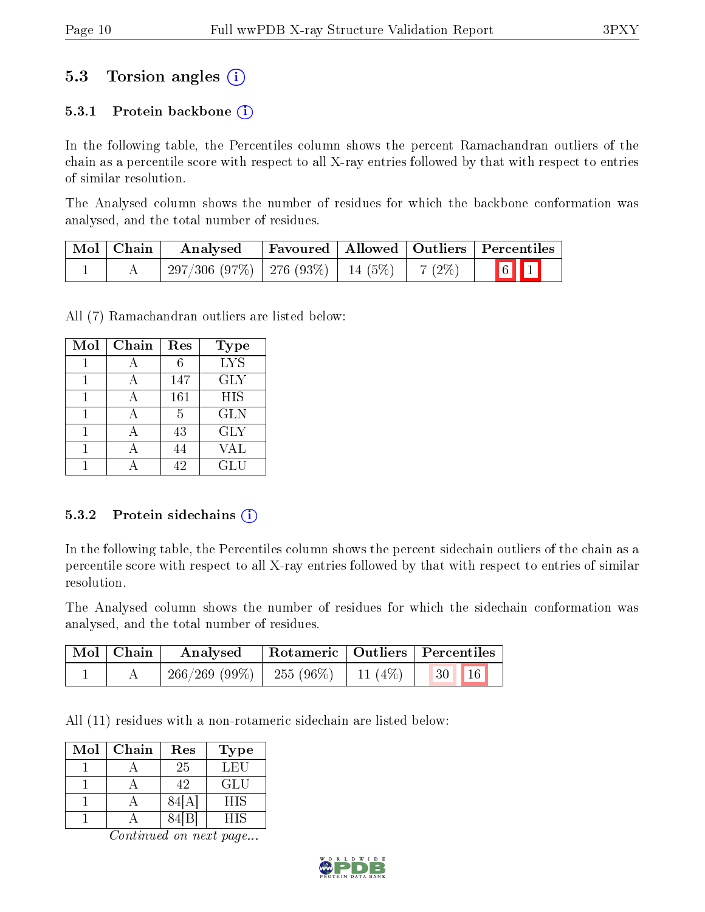## 5.3 Torsion angles (i)

#### 5.3.1 Protein backbone  $(i)$

In the following table, the Percentiles column shows the percent Ramachandran outliers of the chain as a percentile score with respect to all X-ray entries followed by that with respect to entries of similar resolution.

The Analysed column shows the number of residues for which the backbone conformation was analysed, and the total number of residues.

| Mol   Chain | Analysed                                                   | Favoured   Allowed   Outliers   Percentiles |  |                         |  |
|-------------|------------------------------------------------------------|---------------------------------------------|--|-------------------------|--|
|             | $297/306$ $(97\%)$   276 $(93\%)$   14 $(5\%)$   7 $(2\%)$ |                                             |  | $\boxed{6}$ $\boxed{1}$ |  |

All (7) Ramachandran outliers are listed below:

| Mol | Chain | Res | <b>Type</b>                   |
|-----|-------|-----|-------------------------------|
|     |       | 6   | $\overline{I} \overline{Y} S$ |
|     |       | 147 | <b>GLY</b>                    |
|     |       | 161 | <b>HIS</b>                    |
|     |       | 5   | <b>GLN</b>                    |
|     |       | 43  | <b>GLY</b>                    |
|     |       | 44  | VAL                           |
|     |       | 42  | GLU                           |

#### 5.3.2 Protein sidechains  $(i)$

In the following table, the Percentiles column shows the percent sidechain outliers of the chain as a percentile score with respect to all X-ray entries followed by that with respect to entries of similar resolution.

The Analysed column shows the number of residues for which the sidechain conformation was analysed, and the total number of residues.

| Mol   Chain | Analysed                                           |  | Rotameric   Outliers   Percentiles |  |
|-------------|----------------------------------------------------|--|------------------------------------|--|
|             | $266/269$ (99\%)   255 (96\%)   11 (4\%)   30   16 |  |                                    |  |

All (11) residues with a non-rotameric sidechain are listed below:

| Mol | Chain | Res  | Type       |
|-----|-------|------|------------|
|     |       | 25   | LEU        |
|     |       | 42   | GLU        |
|     |       | 84I  | <b>HIS</b> |
|     |       | 84 B | HIS        |

Continued on next page...

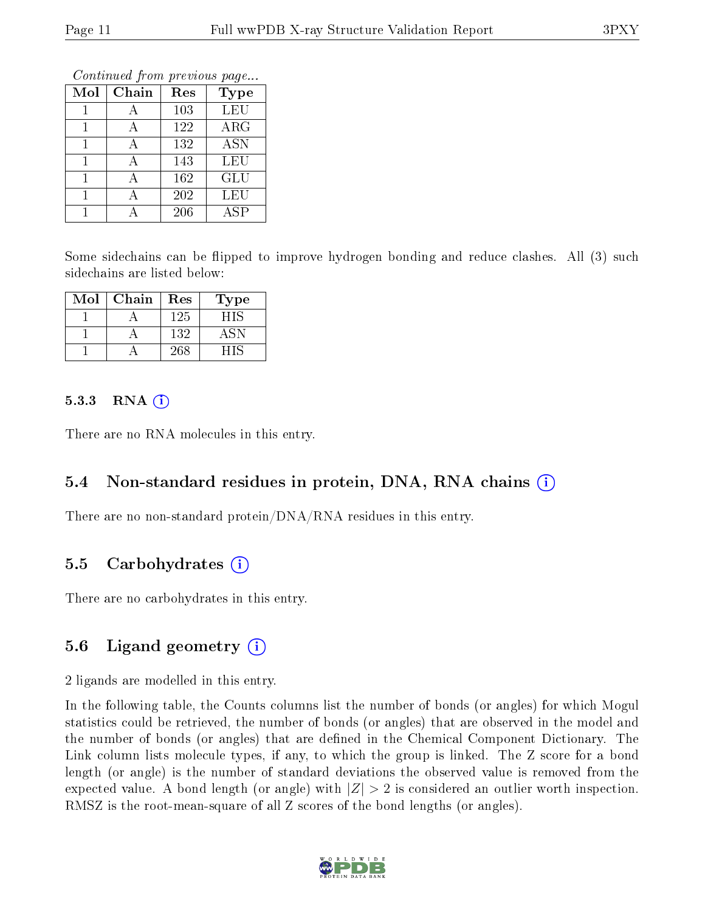Continued from previous page...

| Mol | Chain | Res | <b>Type</b> |
|-----|-------|-----|-------------|
|     |       | 103 | LEU         |
|     |       | 122 | $\rm{ARG}$  |
|     | А     | 132 | <b>ASN</b>  |
|     | А     | 143 | LEU         |
|     |       | 162 | GLU         |
|     |       | 202 | <b>LEU</b>  |
|     |       | 206 | ASP         |

Some sidechains can be flipped to improve hydrogen bonding and reduce clashes. All (3) such sidechains are listed below:

| Mol | Chain | Res | Type  |
|-----|-------|-----|-------|
|     |       | 125 | 8 I S |
|     |       | 132 |       |
|     |       | 268 |       |

#### $5.3.3$  RNA  $(i)$

There are no RNA molecules in this entry.

#### 5.4 Non-standard residues in protein, DNA, RNA chains (i)

There are no non-standard protein/DNA/RNA residues in this entry.

#### 5.5 Carbohydrates (i)

There are no carbohydrates in this entry.

### 5.6 Ligand geometry  $(i)$

2 ligands are modelled in this entry.

In the following table, the Counts columns list the number of bonds (or angles) for which Mogul statistics could be retrieved, the number of bonds (or angles) that are observed in the model and the number of bonds (or angles) that are defined in the Chemical Component Dictionary. The Link column lists molecule types, if any, to which the group is linked. The Z score for a bond length (or angle) is the number of standard deviations the observed value is removed from the expected value. A bond length (or angle) with  $|Z| > 2$  is considered an outlier worth inspection. RMSZ is the root-mean-square of all Z scores of the bond lengths (or angles).

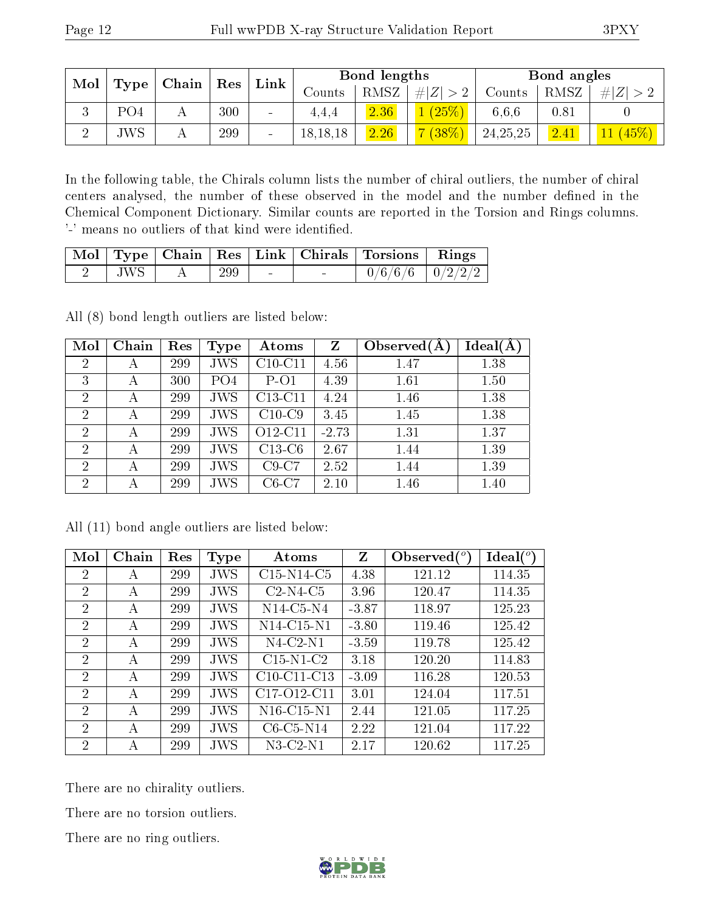| Mol |                   | $\perp$ Chain $\perp$ |     |                          |            |      | $\operatorname{Res}$ |          |          | Bond lengths |  |  | Bond angles |  |
|-----|-------------------|-----------------------|-----|--------------------------|------------|------|----------------------|----------|----------|--------------|--|--|-------------|--|
|     | Type <sup>1</sup> |                       |     | ${\rm Link}$             | Counts     | RMSZ | Z <br>#              | Counts   | RMSZ     | # Z          |  |  |             |  |
|     | PO4               | Α                     | 300 | $\overline{\phantom{0}}$ | 4.4.4      | 2.36 | $(25\%)$             | 6,6,6    | $0.81\,$ |              |  |  |             |  |
|     | <b>JWS</b>        | A                     | 299 | $\overline{\phantom{0}}$ | 18, 18, 18 | 2.26 | $(38\%)$             | 24,25,25 | 2.41     | $(45\%)$     |  |  |             |  |

In the following table, the Chirals column lists the number of chiral outliers, the number of chiral centers analysed, the number of these observed in the model and the number defined in the Chemical Component Dictionary. Similar counts are reported in the Torsion and Rings columns. '-' means no outliers of that kind were identified.

|         |     |        |                          | Mol   Type   Chain   Res   Link   Chirals   Torsions   Rings |  |
|---------|-----|--------|--------------------------|--------------------------------------------------------------|--|
| $JWS +$ | 299 | $\sim$ | $\overline{\phantom{0}}$ | $0/6/6/6$ $ 0/2/2/2 $                                        |  |

All (8) bond length outliers are listed below:

| Mol            | Chain | Res | Type            | Atoms     | $Z_{\rm}$ | Observed $(A$ | Ideal(A) |
|----------------|-------|-----|-----------------|-----------|-----------|---------------|----------|
| $\overline{2}$ | А     | 299 | <b>JWS</b>      | $C10-C11$ | 4.56      | 1.47          | 1.38     |
| 3              | А     | 300 | PO <sub>4</sub> | $P-O1$    | 4.39      | 1.61          | 1.50     |
| $\overline{2}$ | А     | 299 | <b>JWS</b>      | $C13-C11$ | 4.24      | 1.46          | 1.38     |
| $\overline{2}$ | А     | 299 | <b>JWS</b>      | $C10-C9$  | 3.45      | 1.45          | 1.38     |
| $\overline{2}$ | А     | 299 | <b>JWS</b>      | O12-C11   | $-2.73$   | 1.31          | 1.37     |
| $\overline{2}$ | А     | 299 | <b>JWS</b>      | $C13-C6$  | 2.67      | 1.44          | 1.39     |
| $\overline{2}$ | А     | 299 | <b>JWS</b>      | $C9-C7$   | 2.52      | 1.44          | 1.39     |
| $\overline{2}$ | А     | 299 | <b>JWS</b>      | $C6-C7$   | 2.10      | 1.46          | 1.40     |

All (11) bond angle outliers are listed below:

| Mol            | Chain | Res | <b>Type</b> | Atoms          | Z       | Observed $(°)$ | Ideal $(^\circ)$ |
|----------------|-------|-----|-------------|----------------|---------|----------------|------------------|
| 2              | А     | 299 | <b>JWS</b>  | $C15-N14-C5$   | 4.38    | 121.12         | 114.35           |
| $\overline{2}$ | A     | 299 | <b>JWS</b>  | $C2-N4-C5$     | 3.96    | 120.47         | 114.35           |
| 2              | А     | 299 | JWS         | $N14$ -C5-N4   | $-3.87$ | 118.97         | 125.23           |
| $\overline{2}$ | А     | 299 | <b>JWS</b>  | $N14$ -C15-N1  | $-3.80$ | 119.46         | 125.42           |
| $\overline{2}$ | А     | 299 | <b>JWS</b>  | $N4$ -C2- $N1$ | $-3.59$ | 119.78         | 125.42           |
| $\overline{2}$ | А     | 299 | <b>JWS</b>  | $C15-N1-C2$    | 3.18    | 120.20         | 114.83           |
| $\overline{2}$ | А     | 299 | <b>JWS</b>  | $C10-C11-C13$  | $-3.09$ | 116.28         | 120.53           |
| 2              | А     | 299 | JWS         | C17-O12-C11    | 3.01    | 124.04         | 117.51           |
| 2              | А     | 299 | JWS         | $N16$ -C15-N1  | 2.44    | 121.05         | 117.25           |
| $\overline{2}$ | А     | 299 | <b>JWS</b>  | $C6-C5-N14$    | 2.22    | 121.04         | 117.22           |
| $\overline{2}$ | А     | 299 | JWS         | $N3$ -C2- $N1$ | 2.17    | 120.62         | 117.25           |

There are no chirality outliers.

There are no torsion outliers.

There are no ring outliers.

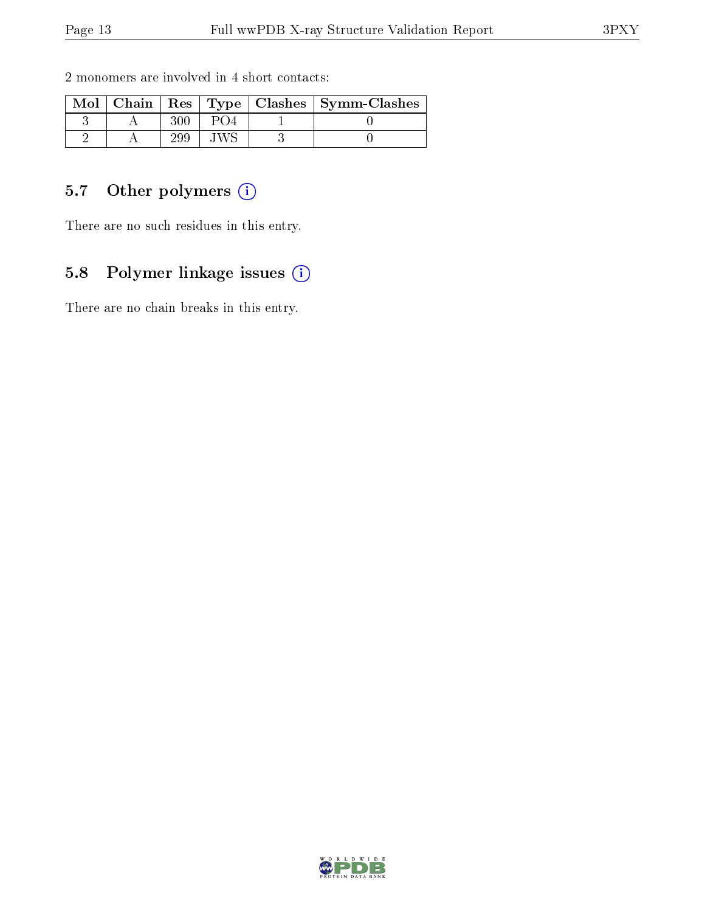| $Mol$   Chain |  | Res   Type   Clashes   Symm-Clashes |
|---------------|--|-------------------------------------|
|               |  |                                     |
|               |  |                                     |

2 monomers are involved in 4 short contacts:

### 5.7 [O](https://www.wwpdb.org/validation/2017/XrayValidationReportHelp#nonstandard_residues_and_ligands)ther polymers (i)

There are no such residues in this entry.

### 5.8 Polymer linkage issues (i)

There are no chain breaks in this entry.

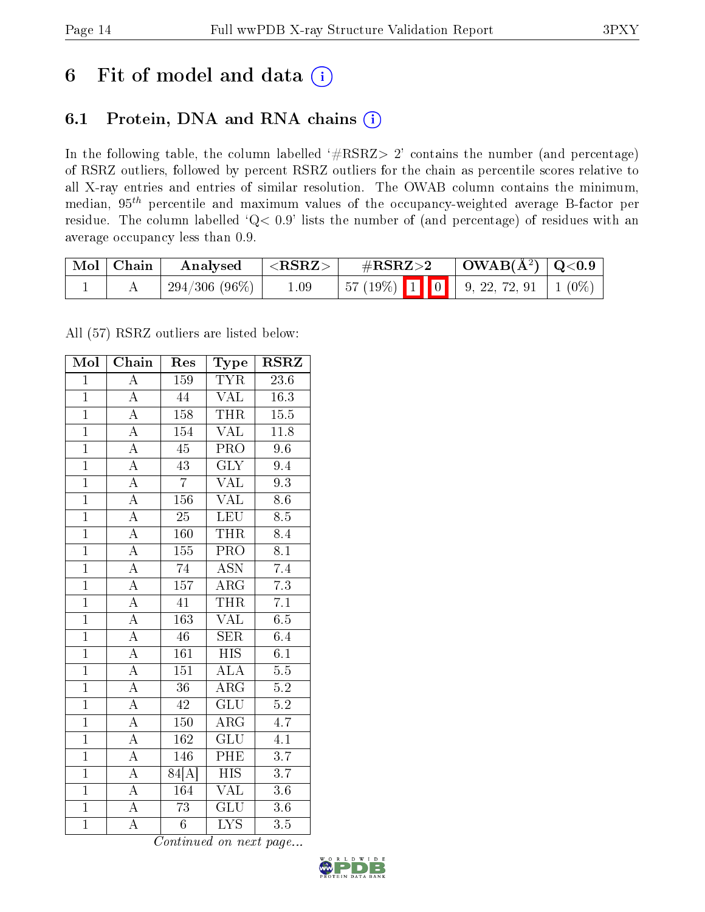# 6 Fit of model and data  $(i)$

## 6.1 Protein, DNA and RNA chains  $(i)$

In the following table, the column labelled  $#RSRZ> 2'$  contains the number (and percentage) of RSRZ outliers, followed by percent RSRZ outliers for the chain as percentile scores relative to all X-ray entries and entries of similar resolution. The OWAB column contains the minimum, median,  $95<sup>th</sup>$  percentile and maximum values of the occupancy-weighted average B-factor per residue. The column labelled ' $Q< 0.9$ ' lists the number of (and percentage) of residues with an average occupancy less than 0.9.

| $\text{Mol} \mid \text{Chain}$ | Analysed        | $<$ RSRZ $>$ | $\#\text{RSRZ}\text{>2}$                                                                                     |  | $\vert$ OWAB( $\rm \AA^2) \vert$ Q<0.9 |  |
|--------------------------------|-----------------|--------------|--------------------------------------------------------------------------------------------------------------|--|----------------------------------------|--|
|                                | $294/306(96\%)$ | 1.09         | $\begin{array}{ c c c c c c c c c } \hline 57 & (19\%) & 1 & 0 & 9, 22, 72, 91 & 1 & 0\% \hline \end{array}$ |  |                                        |  |

All (57) RSRZ outliers are listed below:

| Mol            | $\overline{\text{Chain}}$ | Res              | Type                      | <b>RSRZ</b>       |
|----------------|---------------------------|------------------|---------------------------|-------------------|
| $\mathbf{1}$   | $\overline{\rm A}$        | 159              | <b>TYR</b>                | 23.6              |
| $\mathbf{1}$   | $\overline{\rm A}$        | 44               | $\overline{\text{VAL}}$   | $\overline{16.3}$ |
| $\overline{1}$ | $\overline{A}$            | 158              | <b>THR</b>                | 15.5              |
| $\overline{1}$ | $\overline{A}$            | 154              | <b>VAL</b>                | 11.8              |
| $\overline{1}$ | $\overline{\rm A}$        | $\overline{45}$  | $\overline{\text{PRO}}$   | $\overline{9.6}$  |
| $\overline{1}$ | $\overline{A}$            | $\overline{43}$  | <b>GLY</b>                | 9.4               |
| $\overline{1}$ | $\overline{A}$            | $\overline{7}$   | $\overline{\text{VAL}}$   | 9.3               |
| $\overline{1}$ | $\overline{A}$            | 156              | <b>VAL</b>                | $\overline{8.6}$  |
| $\overline{1}$ | $\overline{\rm A}$        | $\overline{25}$  | <b>LEU</b>                | $\overline{8.5}$  |
| $\overline{1}$ | $\overline{\rm A}$        | 160              | <b>THR</b>                | 8.4               |
| $\overline{1}$ | $\overline{\rm A}$        | 155              | $\overline{\text{PRO}}$   | $\overline{8.1}$  |
| $\overline{1}$ | $\overline{A}$            | $\overline{74}$  | $\overline{\mathrm{ASN}}$ | $\overline{7.4}$  |
| $\overline{1}$ | $\overline{A}$            | $\overline{157}$ | ARG                       | $\overline{7.3}$  |
| $\overline{1}$ | $\overline{\rm A}$        | $\overline{41}$  | <b>THR</b>                | $\overline{7.1}$  |
| $\overline{1}$ | $\overline{\rm A}$        | $\overline{163}$ | $\overline{\text{VAL}}$   | $\overline{6.5}$  |
| $\overline{1}$ | $\overline{A}$            | $\overline{46}$  | <b>SER</b>                | 6.4               |
| $\overline{1}$ | $\overline{A}$            | $\overline{161}$ | $\overline{HIS}$          | $\overline{6.1}$  |
| $\overline{1}$ | $\overline{\rm A}$        | 151              | ALA                       | $\overline{5.5}$  |
| $\overline{1}$ | $\overline{A}$            | $\overline{36}$  | $\overline{\rm ARG}$      | 5.2               |
| $\overline{1}$ | $\overline{A}$            | 42               | $\overline{\text{GLU}}$   | $\overline{5.2}$  |
| $\overline{1}$ | $\overline{\rm A}$        | 150              | ARG                       | $\overline{4.7}$  |
| $\overline{1}$ | $\overline{A}$            | $\overline{162}$ | $\overline{{\rm GLU}}$    | $\overline{4.1}$  |
| $\mathbf{1}$   | $\overline{\rm A}$        | 146              | PHE                       | $\overline{3.7}$  |
| $\overline{1}$ | $\overline{\rm A}$        | 84[A]            | $\overline{\mathrm{HIS}}$ | $\overline{3.7}$  |
| $\overline{1}$ | $\overline{A}$            | 164              | <b>VAL</b>                | 3.6               |
| $\overline{1}$ | $\overline{\rm A}$        | 73               | $\overline{\text{GLU}}$   | 3.6               |
| $\overline{1}$ | $\overline{\rm A}$        | $\overline{6}$   | $\overline{\text{LYS}}$   | 3.5               |

Continued on next page...

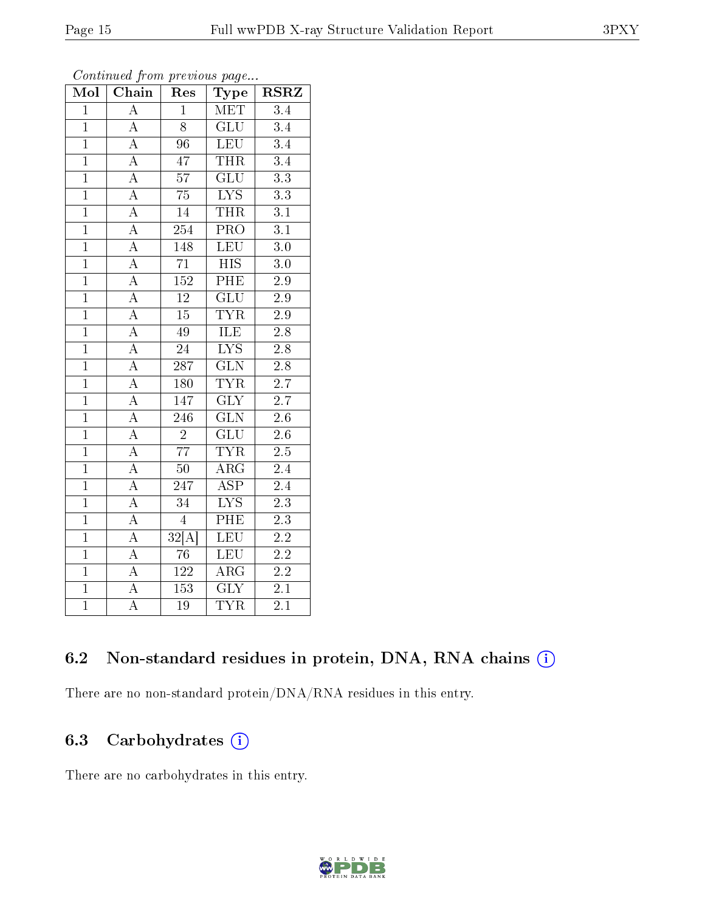| Mol            | Chain<br>Res       |                    | Type                      | $_{\rm RSRZ}$    |  |
|----------------|--------------------|--------------------|---------------------------|------------------|--|
| $\mathbf{1}$   | $\overline{\rm A}$ | $\mathbf{1}$       | MET                       | $\overline{3.4}$ |  |
| $\overline{1}$ | $\overline{A}$     | $\overline{8}$     | $\overline{\text{GLU}}$   | $3.4\,$          |  |
| $\overline{1}$ | $\overline{A}$     | $\overline{96}$    | <b>LEU</b>                | $\overline{3.4}$ |  |
| $\overline{1}$ | $\overline{\rm A}$ | $\overline{47}$    | <b>THR</b>                | $\overline{3.4}$ |  |
| $\overline{1}$ | $\overline{A}$     | $\overline{57}$    | $\overline{\mathrm{GLU}}$ | $\overline{3.3}$ |  |
| $\overline{1}$ | $\overline{A}$     | $\overline{75}$    | $\overline{LYS}$          | $\overline{3.3}$ |  |
| $\overline{1}$ | $\overline{A}$     | $\overline{14}$    | <b>THR</b>                | $\overline{3.1}$ |  |
| $\overline{1}$ | $\overline{A}$     | 254                | $\overline{\text{PRO}}$   | $\overline{3.1}$ |  |
| $\overline{1}$ | $\overline{\rm A}$ | 148                | $\overline{\text{LEU}}$   | $\overline{3.0}$ |  |
| $\overline{1}$ | $\overline{A}$     | $\overline{71}$    | $\overline{HIS}$          | $\overline{3.0}$ |  |
| $\overline{1}$ | $\overline{A}$     | 152                | PHE                       | $\overline{2.9}$ |  |
| $\overline{1}$ | $\overline{A}$     | $\overline{12}$    | $\overline{\mathrm{GLU}}$ | $\overline{2.9}$ |  |
| $\overline{1}$ | $\overline{A}$     | $\overline{15}$    | <b>TYR</b>                | $\overline{2.9}$ |  |
| $\overline{1}$ | $\overline{A}$     | $\overline{49}$    | <b>ILE</b>                | $\overline{2.8}$ |  |
| $\overline{1}$ | $\overline{\rm A}$ | $\overline{24}$    | $\overline{\text{LYS}}$   | $2.\overline{8}$ |  |
| $\overline{1}$ | $\overline{\rm A}$ | $\overline{287}$   | $\overline{\text{GLN}}$   | $\overline{2.8}$ |  |
| $\overline{1}$ | $\overline{A}$     | 180                | <b>TYR</b>                | $\overline{2.7}$ |  |
| $\overline{1}$ | $\overline{\rm A}$ | 147                | $\overline{\text{GLY}}$   | 2.7              |  |
| $\overline{1}$ | $\overline{A}$     | 246                | $\overline{\text{GLN}}$   | $\overline{2.6}$ |  |
| $\overline{1}$ | $\overline{A}$     | $\overline{2}$     | $\overline{\text{GLU}}$   | $2.6\,$          |  |
| $\overline{1}$ | $\overline{A}$     | $\overline{77}$    | <b>TYR</b>                | $\overline{2.5}$ |  |
| $\overline{1}$ | $\overline{A}$     | $\overline{50}$    | $\overline{\rm{ARG}}$     | 2.4              |  |
| $\overline{1}$ | $\rm A$            | 247                | <b>ASP</b>                | 2.4              |  |
| $\overline{1}$ | $\overline{\rm A}$ | 34                 | $\overline{\text{LYS}}$   | $\overline{2.3}$ |  |
| $\overline{1}$ | $\overline{A}$     | $\overline{4}$     | PHE                       | $\overline{2.3}$ |  |
| $\overline{1}$ | $\overline{A}$     | $\overline{32[A]}$ | $\overline{\text{LEU}}$   | $\overline{2.2}$ |  |
| $\overline{1}$ | $\overline{A}$     | $\overline{76}$    | <b>LEU</b>                | $\overline{2.2}$ |  |
| $\overline{1}$ | $\overline{A}$     | $\overline{122}$   | $\overline{\rm ARG}$      | $\overline{2.2}$ |  |
| $\overline{1}$ | $\overline{A}$     | 153                | $\overline{\text{GLY}}$   | $\overline{2.1}$ |  |
| $\overline{1}$ | $\overline{\rm A}$ | 19                 | $\overline{\text{TYR}}$   | 2.1              |  |

Continued from previous page...

#### 6.2 Non-standard residues in protein, DNA, RNA chains (i)

There are no non-standard protein/DNA/RNA residues in this entry.

### 6.3 Carbohydrates (i)

There are no carbohydrates in this entry.